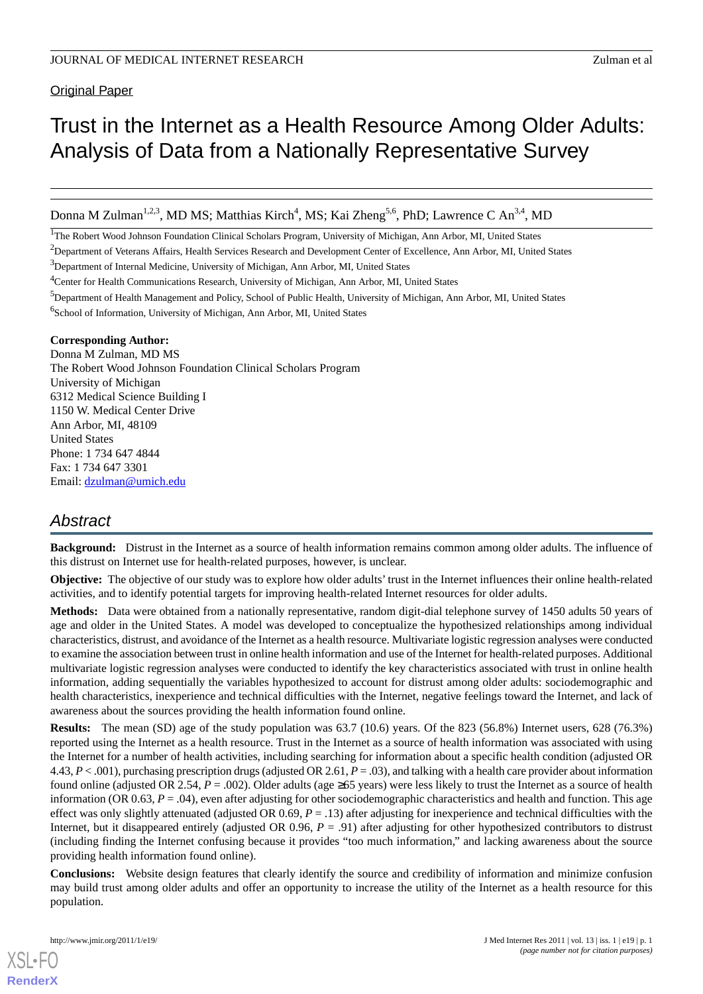**Original Paper** 

# Trust in the Internet as a Health Resource Among Older Adults: Analysis of Data from a Nationally Representative Survey

Donna M Zulman<sup>1,2,3</sup>, MD MS; Matthias Kirch<sup>4</sup>, MS; Kai Zheng<sup>5,6</sup>, PhD; Lawrence C An<sup>3,4</sup>, MD

<sup>1</sup>The Robert Wood Johnson Foundation Clinical Scholars Program, University of Michigan, Ann Arbor, MI, United States

<sup>2</sup>Department of Veterans Affairs, Health Services Research and Development Center of Excellence, Ann Arbor, MI, United States

<sup>3</sup>Department of Internal Medicine, University of Michigan, Ann Arbor, MI, United States

<sup>4</sup>Center for Health Communications Research, University of Michigan, Ann Arbor, MI, United States

<sup>5</sup>Department of Health Management and Policy, School of Public Health, University of Michigan, Ann Arbor, MI, United States

6 School of Information, University of Michigan, Ann Arbor, MI, United States

#### **Corresponding Author:**

Donna M Zulman, MD MS The Robert Wood Johnson Foundation Clinical Scholars Program University of Michigan 6312 Medical Science Building I 1150 W. Medical Center Drive Ann Arbor, MI, 48109 United States Phone: 1 734 647 4844 Fax: 1 734 647 3301 Email: [dzulman@umich.edu](mailto:dzulman@umich.edu)

# *Abstract*

**Background:** Distrust in the Internet as a source of health information remains common among older adults. The influence of this distrust on Internet use for health-related purposes, however, is unclear.

**Objective:** The objective of our study was to explore how older adults'trust in the Internet influences their online health-related activities, and to identify potential targets for improving health-related Internet resources for older adults.

**Methods:** Data were obtained from a nationally representative, random digit-dial telephone survey of 1450 adults 50 years of age and older in the United States. A model was developed to conceptualize the hypothesized relationships among individual characteristics, distrust, and avoidance of the Internet as a health resource. Multivariate logistic regression analyses were conducted to examine the association between trust in online health information and use of the Internet for health-related purposes. Additional multivariate logistic regression analyses were conducted to identify the key characteristics associated with trust in online health information, adding sequentially the variables hypothesized to account for distrust among older adults: sociodemographic and health characteristics, inexperience and technical difficulties with the Internet, negative feelings toward the Internet, and lack of awareness about the sources providing the health information found online.

**Results:** The mean (SD) age of the study population was 63.7 (10.6) years. Of the 823 (56.8%) Internet users, 628 (76.3%) reported using the Internet as a health resource. Trust in the Internet as a source of health information was associated with using the Internet for a number of health activities, including searching for information about a specific health condition (adjusted OR 4.43, *P* < .001), purchasing prescription drugs (adjusted OR 2.61, *P* = .03), and talking with a health care provider about information found online (adjusted OR 2.54, *P* = .002). Older adults (age ≥65 years) were less likely to trust the Internet as a source of health information (OR  $0.63$ ,  $P = .04$ ), even after adjusting for other sociodemographic characteristics and health and function. This age effect was only slightly attenuated (adjusted OR 0.69, *P* = .13) after adjusting for inexperience and technical difficulties with the Internet, but it disappeared entirely (adjusted OR 0.96, *P* = .91) after adjusting for other hypothesized contributors to distrust (including finding the Internet confusing because it provides "too much information," and lacking awareness about the source providing health information found online).

**Conclusions:** Website design features that clearly identify the source and credibility of information and minimize confusion may build trust among older adults and offer an opportunity to increase the utility of the Internet as a health resource for this population.

[XSL](http://www.w3.org/Style/XSL)•FO **[RenderX](http://www.renderx.com/)**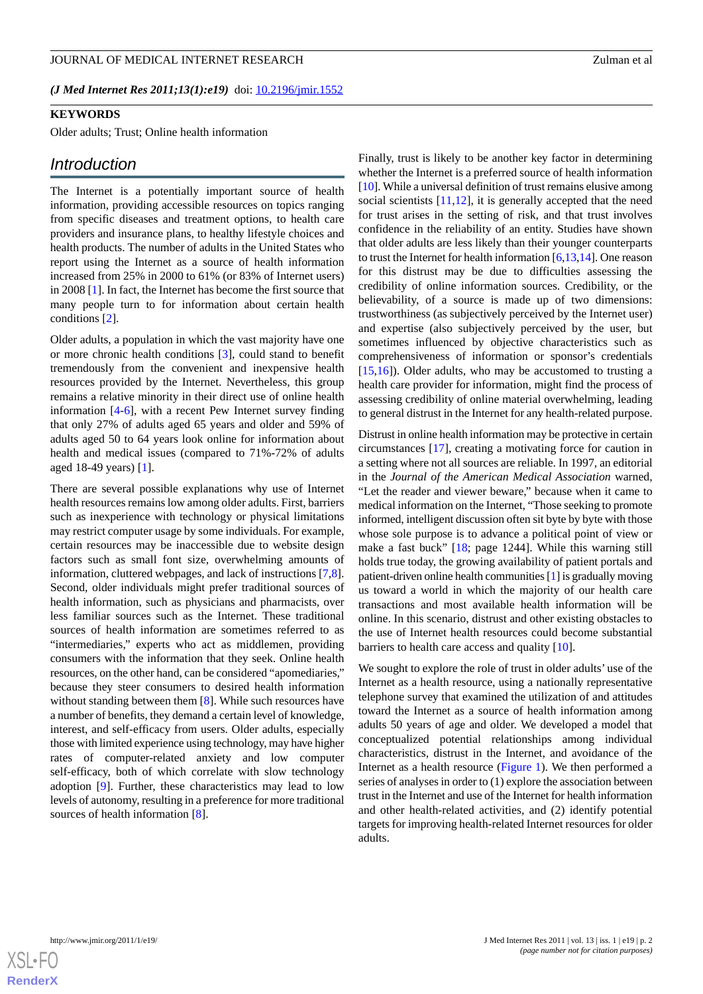*(J Med Internet Res 2011;13(1):e19)* doi:  $10.2196/$ jmir.1552

## **KEYWORDS**

Older adults; Trust; Online health information

#### *Introduction*

The Internet is a potentially important source of health information, providing accessible resources on topics ranging from specific diseases and treatment options, to health care providers and insurance plans, to healthy lifestyle choices and health products. The number of adults in the United States who report using the Internet as a source of health information increased from 25% in 2000 to 61% (or 83% of Internet users) in 2008 [[1\]](#page-7-0). In fact, the Internet has become the first source that many people turn to for information about certain health conditions [\[2](#page-7-1)].

Older adults, a population in which the vast majority have one or more chronic health conditions [\[3](#page-7-2)], could stand to benefit tremendously from the convenient and inexpensive health resources provided by the Internet. Nevertheless, this group remains a relative minority in their direct use of online health information [[4-](#page-8-0)[6](#page-8-1)], with a recent Pew Internet survey finding that only 27% of adults aged 65 years and older and 59% of adults aged 50 to 64 years look online for information about health and medical issues (compared to 71%-72% of adults aged 18-49 years) [[1\]](#page-7-0).

There are several possible explanations why use of Internet health resources remains low among older adults. First, barriers such as inexperience with technology or physical limitations may restrict computer usage by some individuals. For example, certain resources may be inaccessible due to website design factors such as small font size, overwhelming amounts of information, cluttered webpages, and lack of instructions [\[7](#page-8-2),[8\]](#page-8-3). Second, older individuals might prefer traditional sources of health information, such as physicians and pharmacists, over less familiar sources such as the Internet. These traditional sources of health information are sometimes referred to as "intermediaries," experts who act as middlemen, providing consumers with the information that they seek. Online health resources, on the other hand, can be considered "apomediaries," because they steer consumers to desired health information without standing between them [[8\]](#page-8-3). While such resources have a number of benefits, they demand a certain level of knowledge, interest, and self-efficacy from users. Older adults, especially those with limited experience using technology, may have higher rates of computer-related anxiety and low computer self-efficacy, both of which correlate with slow technology adoption [\[9](#page-8-4)]. Further, these characteristics may lead to low levels of autonomy, resulting in a preference for more traditional sources of health information [[8\]](#page-8-3).

Finally, trust is likely to be another key factor in determining whether the Internet is a preferred source of health information [[10\]](#page-8-5). While a universal definition of trust remains elusive among social scientists [[11,](#page-8-6)[12\]](#page-8-7), it is generally accepted that the need for trust arises in the setting of risk, and that trust involves confidence in the reliability of an entity. Studies have shown that older adults are less likely than their younger counterparts to trust the Internet for health information  $[6,13,14]$  $[6,13,14]$  $[6,13,14]$  $[6,13,14]$ . One reason for this distrust may be due to difficulties assessing the credibility of online information sources. Credibility, or the believability, of a source is made up of two dimensions: trustworthiness (as subjectively perceived by the Internet user) and expertise (also subjectively perceived by the user, but sometimes influenced by objective characteristics such as comprehensiveness of information or sponsor's credentials [[15,](#page-8-10)[16\]](#page-8-11)). Older adults, who may be accustomed to trusting a health care provider for information, might find the process of assessing credibility of online material overwhelming, leading to general distrust in the Internet for any health-related purpose.

Distrust in online health information may be protective in certain circumstances [[17\]](#page-8-12), creating a motivating force for caution in a setting where not all sources are reliable. In 1997, an editorial in the *Journal of the American Medical Association* warned, "Let the reader and viewer beware," because when it came to medical information on the Internet, "Those seeking to promote informed, intelligent discussion often sit byte by byte with those whose sole purpose is to advance a political point of view or make a fast buck" [\[18](#page-8-13); page 1244]. While this warning still holds true today, the growing availability of patient portals and patient-driven online health communities [\[1](#page-7-0)] is gradually moving us toward a world in which the majority of our health care transactions and most available health information will be online. In this scenario, distrust and other existing obstacles to the use of Internet health resources could become substantial barriers to health care access and quality [[10\]](#page-8-5).

We sought to explore the role of trust in older adults' use of the Internet as a health resource, using a nationally representative telephone survey that examined the utilization of and attitudes toward the Internet as a source of health information among adults 50 years of age and older. We developed a model that conceptualized potential relationships among individual characteristics, distrust in the Internet, and avoidance of the Internet as a health resource [\(Figure 1](#page-2-0)). We then performed a series of analyses in order to (1) explore the association between trust in the Internet and use of the Internet for health information and other health-related activities, and (2) identify potential targets for improving health-related Internet resources for older adults.

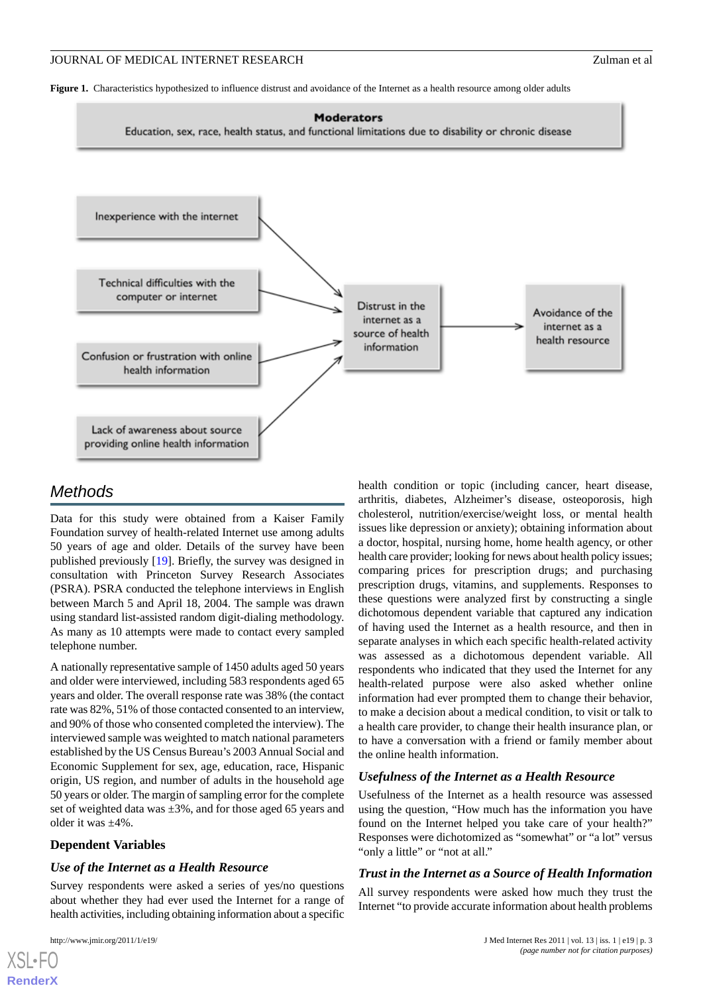<span id="page-2-0"></span>**Figure 1.** Characteristics hypothesized to influence distrust and avoidance of the Internet as a health resource among older adults



# *Methods*

Data for this study were obtained from a Kaiser Family Foundation survey of health-related Internet use among adults 50 years of age and older. Details of the survey have been published previously [\[19](#page-8-14)]. Briefly, the survey was designed in consultation with Princeton Survey Research Associates (PSRA). PSRA conducted the telephone interviews in English between March 5 and April 18, 2004. The sample was drawn using standard list-assisted random digit-dialing methodology. As many as 10 attempts were made to contact every sampled telephone number.

A nationally representative sample of 1450 adults aged 50 years and older were interviewed, including 583 respondents aged 65 years and older. The overall response rate was 38% (the contact rate was 82%, 51% of those contacted consented to an interview, and 90% of those who consented completed the interview). The interviewed sample was weighted to match national parameters established by the US Census Bureau's 2003 Annual Social and Economic Supplement for sex, age, education, race, Hispanic origin, US region, and number of adults in the household age 50 years or older. The margin of sampling error for the complete set of weighted data was  $\pm 3\%$ , and for those aged 65 years and older it was ±4%.

## **Dependent Variables**

#### *Use of the Internet as a Health Resource*

Survey respondents were asked a series of yes/no questions about whether they had ever used the Internet for a range of health activities, including obtaining information about a specific

health condition or topic (including cancer, heart disease, arthritis, diabetes, Alzheimer's disease, osteoporosis, high cholesterol, nutrition/exercise/weight loss, or mental health issues like depression or anxiety); obtaining information about a doctor, hospital, nursing home, home health agency, or other health care provider; looking for news about health policy issues; comparing prices for prescription drugs; and purchasing prescription drugs, vitamins, and supplements. Responses to these questions were analyzed first by constructing a single dichotomous dependent variable that captured any indication of having used the Internet as a health resource, and then in separate analyses in which each specific health-related activity was assessed as a dichotomous dependent variable. All respondents who indicated that they used the Internet for any health-related purpose were also asked whether online information had ever prompted them to change their behavior, to make a decision about a medical condition, to visit or talk to a health care provider, to change their health insurance plan, or to have a conversation with a friend or family member about the online health information.

#### *Usefulness of the Internet as a Health Resource*

Usefulness of the Internet as a health resource was assessed using the question, "How much has the information you have found on the Internet helped you take care of your health?" Responses were dichotomized as "somewhat" or "a lot" versus "only a little" or "not at all."

#### *Trust in the Internet as a Source of Health Information*

All survey respondents were asked how much they trust the Internet "to provide accurate information about health problems

```
XSL•FO
RenderX
```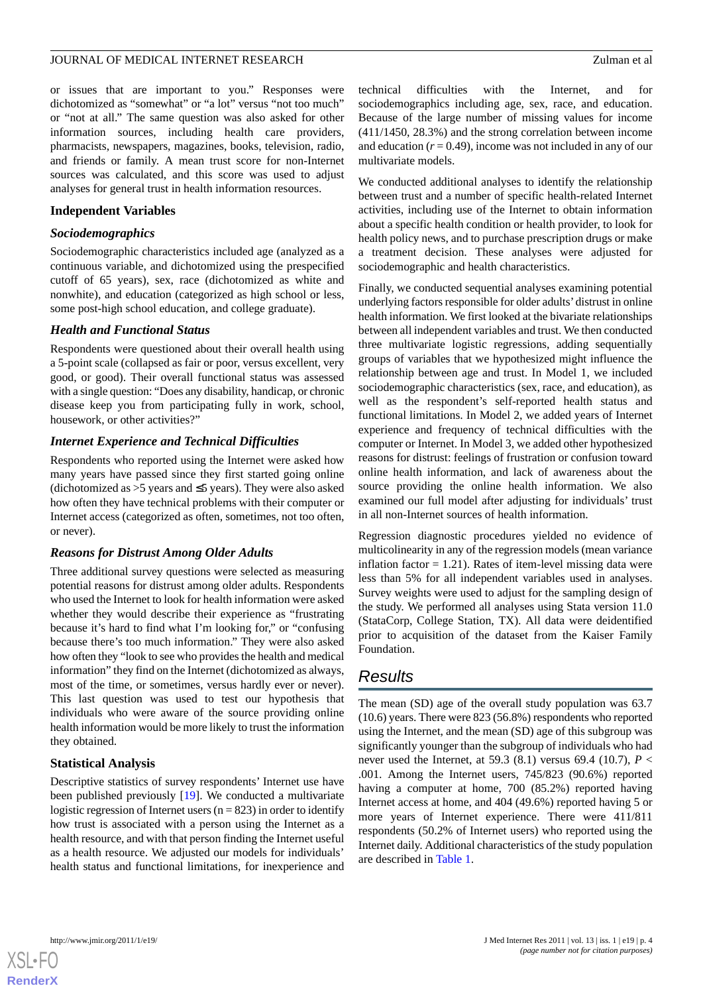or issues that are important to you." Responses were dichotomized as "somewhat" or "a lot" versus "not too much" or "not at all." The same question was also asked for other information sources, including health care providers, pharmacists, newspapers, magazines, books, television, radio, and friends or family. A mean trust score for non-Internet sources was calculated, and this score was used to adjust analyses for general trust in health information resources.

## **Independent Variables**

#### *Sociodemographics*

Sociodemographic characteristics included age (analyzed as a continuous variable, and dichotomized using the prespecified cutoff of 65 years), sex, race (dichotomized as white and nonwhite), and education (categorized as high school or less, some post-high school education, and college graduate).

## *Health and Functional Status*

Respondents were questioned about their overall health using a 5-point scale (collapsed as fair or poor, versus excellent, very good, or good). Their overall functional status was assessed with a single question: "Does any disability, handicap, or chronic disease keep you from participating fully in work, school, housework, or other activities?"

## *Internet Experience and Technical Difficulties*

Respondents who reported using the Internet were asked how many years have passed since they first started going online (dichotomized as >5 years and ≤5 years). They were also asked how often they have technical problems with their computer or Internet access (categorized as often, sometimes, not too often, or never).

## *Reasons for Distrust Among Older Adults*

Three additional survey questions were selected as measuring potential reasons for distrust among older adults. Respondents who used the Internet to look for health information were asked whether they would describe their experience as "frustrating because it's hard to find what I'm looking for," or "confusing because there's too much information." They were also asked how often they "look to see who provides the health and medical information" they find on the Internet (dichotomized as always, most of the time, or sometimes, versus hardly ever or never). This last question was used to test our hypothesis that individuals who were aware of the source providing online health information would be more likely to trust the information they obtained.

## **Statistical Analysis**

Descriptive statistics of survey respondents' Internet use have been published previously [[19\]](#page-8-14). We conducted a multivariate logistic regression of Internet users ( $n = 823$ ) in order to identify how trust is associated with a person using the Internet as a health resource, and with that person finding the Internet useful as a health resource. We adjusted our models for individuals' health status and functional limitations, for inexperience and

technical difficulties with the Internet, and for sociodemographics including age, sex, race, and education. Because of the large number of missing values for income (411/1450, 28.3%) and the strong correlation between income and education  $(r = 0.49)$ , income was not included in any of our multivariate models.

We conducted additional analyses to identify the relationship between trust and a number of specific health-related Internet activities, including use of the Internet to obtain information about a specific health condition or health provider, to look for health policy news, and to purchase prescription drugs or make a treatment decision. These analyses were adjusted for sociodemographic and health characteristics.

Finally, we conducted sequential analyses examining potential underlying factors responsible for older adults'distrust in online health information. We first looked at the bivariate relationships between all independent variables and trust. We then conducted three multivariate logistic regressions, adding sequentially groups of variables that we hypothesized might influence the relationship between age and trust. In Model 1, we included sociodemographic characteristics (sex, race, and education), as well as the respondent's self-reported health status and functional limitations. In Model 2, we added years of Internet experience and frequency of technical difficulties with the computer or Internet. In Model 3, we added other hypothesized reasons for distrust: feelings of frustration or confusion toward online health information, and lack of awareness about the source providing the online health information. We also examined our full model after adjusting for individuals' trust in all non-Internet sources of health information.

Regression diagnostic procedures yielded no evidence of multicolinearity in any of the regression models (mean variance inflation factor  $= 1.21$ ). Rates of item-level missing data were less than 5% for all independent variables used in analyses. Survey weights were used to adjust for the sampling design of the study. We performed all analyses using Stata version 11.0 (StataCorp, College Station, TX). All data were deidentified prior to acquisition of the dataset from the Kaiser Family Foundation.

# *Results*

The mean (SD) age of the overall study population was 63.7 (10.6) years. There were 823 (56.8%) respondents who reported using the Internet, and the mean (SD) age of this subgroup was significantly younger than the subgroup of individuals who had never used the Internet, at 59.3 (8.1) versus 69.4 (10.7), *P* < .001. Among the Internet users, 745/823 (90.6%) reported having a computer at home, 700 (85.2%) reported having Internet access at home, and 404 (49.6%) reported having 5 or more years of Internet experience. There were 411/811 respondents (50.2% of Internet users) who reported using the Internet daily. Additional characteristics of the study population are described in [Table 1.](#page-4-0)

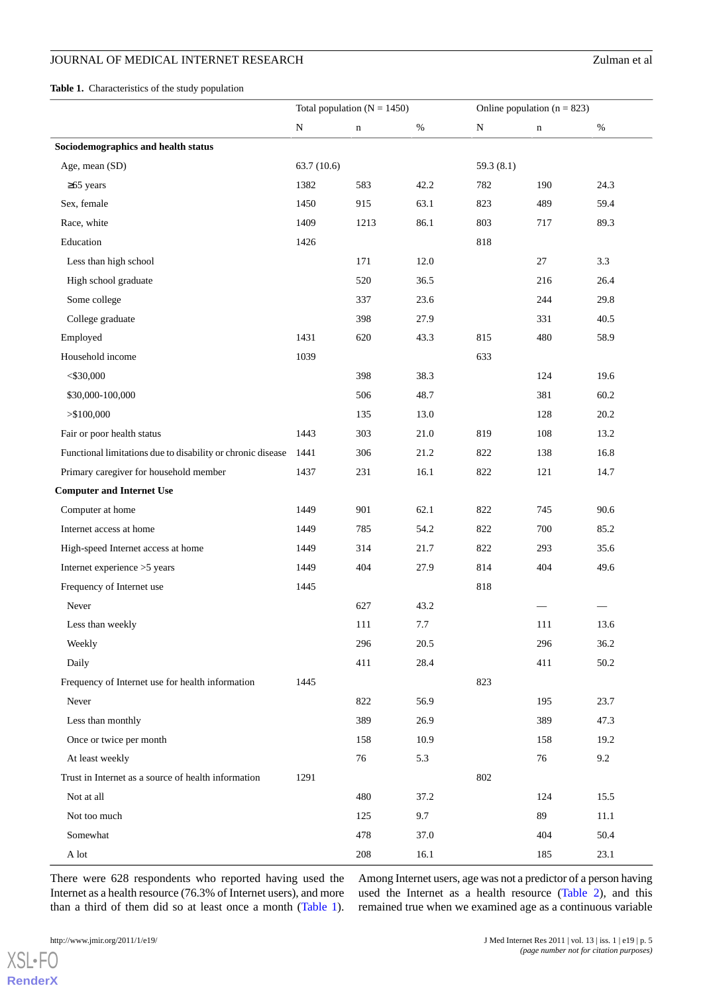## JOURNAL OF MEDICAL INTERNET RESEARCH Zulman et al

<span id="page-4-0"></span>**Table 1.** Characteristics of the study population

|                                                             | Total population ( $N = 1450$ ) |             |          | Online population ( $n = 823$ ) |             |      |
|-------------------------------------------------------------|---------------------------------|-------------|----------|---------------------------------|-------------|------|
|                                                             | ${\bf N}$                       | $\mathbf n$ | $\%$     | ${\bf N}$                       | $\mathbf n$ | $\%$ |
| Sociodemographics and health status                         |                                 |             |          |                                 |             |      |
| Age, mean (SD)                                              | 63.7(10.6)                      |             |          | 59.3 $(8.1)$                    |             |      |
| $\geq 65$ years                                             | 1382                            | 583         | 42.2     | 782                             | 190         | 24.3 |
| Sex, female                                                 | 1450                            | 915         | 63.1     | 823                             | 489         | 59.4 |
| Race, white                                                 | 1409                            | 1213        | 86.1     | 803                             | 717         | 89.3 |
| Education                                                   | 1426                            |             |          | 818                             |             |      |
| Less than high school                                       |                                 | 171         | 12.0     |                                 | 27          | 3.3  |
| High school graduate                                        |                                 | 520         | 36.5     |                                 | 216         | 26.4 |
| Some college                                                |                                 | 337         | 23.6     |                                 | 244         | 29.8 |
| College graduate                                            |                                 | 398         | 27.9     |                                 | 331         | 40.5 |
| Employed                                                    | 1431                            | 620         | 43.3     | 815                             | 480         | 58.9 |
| Household income                                            | 1039                            |             |          | 633                             |             |      |
| $<$ \$30,000                                                |                                 | 398         | 38.3     |                                 | 124         | 19.6 |
| \$30,000-100,000                                            |                                 | 506         | 48.7     |                                 | 381         | 60.2 |
| > \$100,000                                                 |                                 | 135         | 13.0     |                                 | 128         | 20.2 |
| Fair or poor health status                                  | 1443                            | 303         | $21.0\,$ | 819                             | 108         | 13.2 |
| Functional limitations due to disability or chronic disease | 1441                            | 306         | 21.2     | 822                             | 138         | 16.8 |
| Primary caregiver for household member                      | 1437                            | 231         | 16.1     | 822                             | 121         | 14.7 |
| <b>Computer and Internet Use</b>                            |                                 |             |          |                                 |             |      |
| Computer at home                                            | 1449                            | 901         | 62.1     | 822                             | 745         | 90.6 |
| Internet access at home                                     | 1449                            | 785         | 54.2     | 822                             | 700         | 85.2 |
| High-speed Internet access at home                          | 1449                            | 314         | 21.7     | 822                             | 293         | 35.6 |
| Internet experience >5 years                                | 1449                            | 404         | 27.9     | 814                             | 404         | 49.6 |
| Frequency of Internet use                                   | 1445                            |             |          | 818                             |             |      |
| Never                                                       |                                 | 627         | 43.2     |                                 |             |      |
| Less than weekly                                            |                                 | 111         | 7.7      |                                 | 111         | 13.6 |
| Weekly                                                      |                                 | 296         | 20.5     |                                 | 296         | 36.2 |
| Daily                                                       |                                 | 411         | 28.4     |                                 | 411         | 50.2 |
| Frequency of Internet use for health information            | 1445                            |             |          | 823                             |             |      |
| Never                                                       |                                 | 822         | 56.9     |                                 | 195         | 23.7 |
| Less than monthly                                           |                                 | 389         | 26.9     |                                 | 389         | 47.3 |
| Once or twice per month                                     |                                 | 158         | 10.9     |                                 | 158         | 19.2 |
| At least weekly                                             |                                 | 76          | 5.3      |                                 | 76          | 9.2  |
| Trust in Internet as a source of health information         | 1291                            |             |          | 802                             |             |      |
| Not at all                                                  |                                 | 480         | 37.2     |                                 | 124         | 15.5 |
| Not too much                                                |                                 | 125         | 9.7      |                                 | 89          | 11.1 |
| Somewhat                                                    |                                 | 478         | 37.0     |                                 | 404         | 50.4 |
| $\mathbf A$ lot                                             |                                 | 208         | 16.1     |                                 | 185         | 23.1 |

There were 628 respondents who reported having used the Internet as a health resource (76.3% of Internet users), and more than a third of them did so at least once a month [\(Table 1\)](#page-4-0).

Among Internet users, age was not a predictor of a person having used the Internet as a health resource ([Table 2\)](#page-5-0), and this remained true when we examined age as a continuous variable

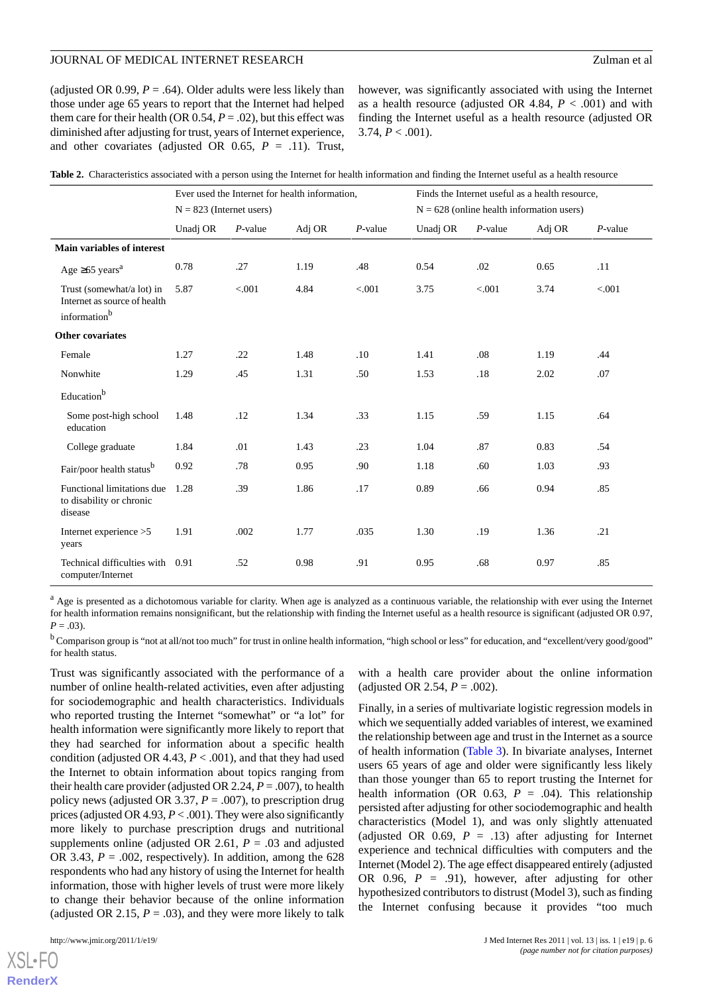(adjusted OR 0.99,  $P = .64$ ). Older adults were less likely than those under age 65 years to report that the Internet had helped them care for their health (OR  $0.54$ ,  $P = .02$ ), but this effect was diminished after adjusting for trust, years of Internet experience, and other covariates (adjusted OR 0.65, *P* = .11). Trust,

however, was significantly associated with using the Internet as a health resource (adjusted OR 4.84,  $P < .001$ ) and with finding the Internet useful as a health resource (adjusted OR 3.74,  $P < .001$ ).

|                                                                                       | Ever used the Internet for health information,<br>$N = 823$ (Internet users) |            |        |            | Finds the Internet useful as a health resource,<br>$N = 628$ (online health information users) |            |        |            |
|---------------------------------------------------------------------------------------|------------------------------------------------------------------------------|------------|--------|------------|------------------------------------------------------------------------------------------------|------------|--------|------------|
|                                                                                       |                                                                              |            |        |            |                                                                                                |            |        |            |
|                                                                                       | Unadj OR                                                                     | $P$ -value | Adj OR | $P$ -value | Unadj OR                                                                                       | $P$ -value | Adj OR | $P$ -value |
| <b>Main variables of interest</b>                                                     |                                                                              |            |        |            |                                                                                                |            |        |            |
| Age $\geq 65$ years <sup>a</sup>                                                      | 0.78                                                                         | .27        | 1.19   | .48        | 0.54                                                                                           | .02        | 0.65   | .11        |
| Trust (somewhat/a lot) in<br>Internet as source of health<br>information <sup>b</sup> | 5.87                                                                         | < .001     | 4.84   | < .001     | 3.75                                                                                           | < .001     | 3.74   | < .001     |
| <b>Other covariates</b>                                                               |                                                                              |            |        |            |                                                                                                |            |        |            |
| Female                                                                                | 1.27                                                                         | .22        | 1.48   | .10        | 1.41                                                                                           | .08        | 1.19   | .44        |
| Nonwhite                                                                              | 1.29                                                                         | .45        | 1.31   | .50        | 1.53                                                                                           | .18        | 2.02   | .07        |
| Education <sup>b</sup>                                                                |                                                                              |            |        |            |                                                                                                |            |        |            |
| Some post-high school<br>education                                                    | 1.48                                                                         | .12        | 1.34   | .33        | 1.15                                                                                           | .59        | 1.15   | .64        |
| College graduate                                                                      | 1.84                                                                         | .01        | 1.43   | .23        | 1.04                                                                                           | .87        | 0.83   | .54        |
| Fair/poor health statusb                                                              | 0.92                                                                         | .78        | 0.95   | .90        | 1.18                                                                                           | .60        | 1.03   | .93        |
| Functional limitations due<br>to disability or chronic<br>disease                     | 1.28                                                                         | .39        | 1.86   | .17        | 0.89                                                                                           | .66        | 0.94   | .85        |
| Internet experience >5<br>years                                                       | 1.91                                                                         | .002       | 1.77   | .035       | 1.30                                                                                           | .19        | 1.36   | .21        |
| Technical difficulties with<br>computer/Internet                                      | 0.91                                                                         | .52        | 0.98   | .91        | 0.95                                                                                           | .68        | 0.97   | .85        |

<span id="page-5-0"></span>

|  |  |  | Table 2. Characteristics associated with a person using the Internet for health information and finding the Internet useful as a health resource |  |
|--|--|--|--------------------------------------------------------------------------------------------------------------------------------------------------|--|
|--|--|--|--------------------------------------------------------------------------------------------------------------------------------------------------|--|

<sup>a</sup> Age is presented as a dichotomous variable for clarity. When age is analyzed as a continuous variable, the relationship with ever using the Internet for health information remains nonsignificant, but the relationship with finding the Internet useful as a health resource is significant (adjusted OR 0.97,  $P = .03$ ).

<sup>b</sup> Comparison group is "not at all/not too much" for trust in online health information, "high school or less" for education, and "excellent/very good/good" for health status.

Trust was significantly associated with the performance of a number of online health-related activities, even after adjusting for sociodemographic and health characteristics. Individuals who reported trusting the Internet "somewhat" or "a lot" for health information were significantly more likely to report that they had searched for information about a specific health condition (adjusted OR 4.43,  $P < .001$ ), and that they had used the Internet to obtain information about topics ranging from their health care provider (adjusted OR 2.24,  $P = .007$ ), to health policy news (adjusted OR 3.37, *P* = .007), to prescription drug prices (adjusted OR 4.93, *P* < .001). They were also significantly more likely to purchase prescription drugs and nutritional supplements online (adjusted OR 2.61,  $P = .03$  and adjusted OR 3.43,  $P = .002$ , respectively). In addition, among the 628 respondents who had any history of using the Internet for health information, those with higher levels of trust were more likely to change their behavior because of the online information (adjusted OR 2.15,  $P = .03$ ), and they were more likely to talk

[XSL](http://www.w3.org/Style/XSL)•FO **[RenderX](http://www.renderx.com/)**

with a health care provider about the online information (adjusted OR 2.54,  $P = .002$ ).

Finally, in a series of multivariate logistic regression models in which we sequentially added variables of interest, we examined the relationship between age and trust in the Internet as a source of health information ([Table 3](#page-6-0)). In bivariate analyses, Internet users 65 years of age and older were significantly less likely than those younger than 65 to report trusting the Internet for health information (OR 0.63,  $P = .04$ ). This relationship persisted after adjusting for other sociodemographic and health characteristics (Model 1), and was only slightly attenuated (adjusted OR  $0.69$ ,  $P = .13$ ) after adjusting for Internet experience and technical difficulties with computers and the Internet (Model 2). The age effect disappeared entirely (adjusted OR  $0.96$ ,  $P = .91$ ), however, after adjusting for other hypothesized contributors to distrust (Model 3), such as finding the Internet confusing because it provides "too much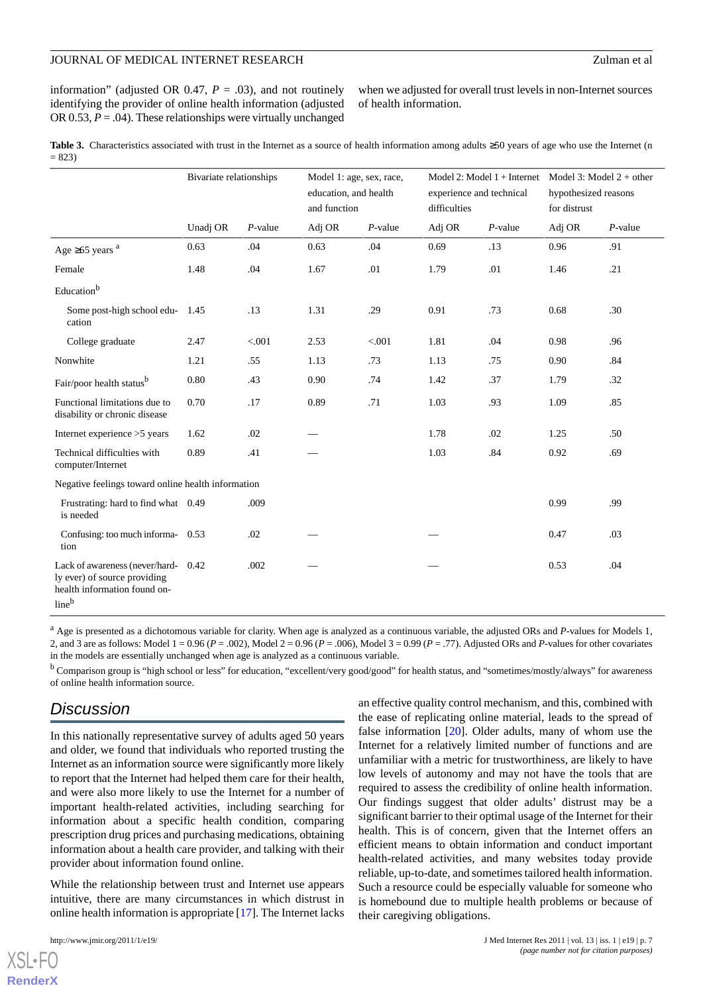information" (adjusted OR 0.47,  $P = .03$ ), and not routinely identifying the provider of online health information (adjusted OR 0.53,  $P = .04$ ). These relationships were virtually unchanged

when we adjusted for overall trust levels in non-Internet sources of health information.

<span id="page-6-0"></span>Table 3. Characteristics associated with trust in the Internet as a source of health information among adults ≥50 years of age who use the Internet (n  $= 823$ 

|                                                                                                         | Bivariate relationships |            | Model 1: age, sex, race,<br>education, and health<br>and function |            | Model 2: Model $1 +$ Internet Model 3: Model $2 +$ other<br>experience and technical<br>difficulties |            | hypothesized reasons<br>for distrust |            |
|---------------------------------------------------------------------------------------------------------|-------------------------|------------|-------------------------------------------------------------------|------------|------------------------------------------------------------------------------------------------------|------------|--------------------------------------|------------|
|                                                                                                         | Unadj OR                | $P$ -value | Adj OR                                                            | $P$ -value | Adj OR                                                                                               | $P$ -value | Adj OR                               | $P$ -value |
| Age $\geq 65$ years $a$                                                                                 | 0.63                    | .04        | 0.63                                                              | .04        | 0.69                                                                                                 | .13        | 0.96                                 | .91        |
| Female                                                                                                  | 1.48                    | .04        | 1.67                                                              | .01        | 1.79                                                                                                 | .01        | 1.46                                 | .21        |
| Education <sup>b</sup>                                                                                  |                         |            |                                                                   |            |                                                                                                      |            |                                      |            |
| Some post-high school edu-<br>cation                                                                    | 1.45                    | .13        | 1.31                                                              | .29        | 0.91                                                                                                 | .73        | 0.68                                 | .30        |
| College graduate                                                                                        | 2.47                    | < 0.001    | 2.53                                                              | < 0.001    | 1.81                                                                                                 | .04        | 0.98                                 | .96        |
| Nonwhite                                                                                                | 1.21                    | .55        | 1.13                                                              | .73        | 1.13                                                                                                 | .75        | 0.90                                 | .84        |
| Fair/poor health statusb                                                                                | 0.80                    | .43        | 0.90                                                              | .74        | 1.42                                                                                                 | .37        | 1.79                                 | .32        |
| Functional limitations due to<br>disability or chronic disease                                          | 0.70                    | .17        | 0.89                                                              | .71        | 1.03                                                                                                 | .93        | 1.09                                 | .85        |
| Internet experience >5 years                                                                            | 1.62                    | .02        |                                                                   |            | 1.78                                                                                                 | .02        | 1.25                                 | .50        |
| Technical difficulties with<br>computer/Internet                                                        | 0.89                    | .41        |                                                                   |            | 1.03                                                                                                 | .84        | 0.92                                 | .69        |
| Negative feelings toward online health information                                                      |                         |            |                                                                   |            |                                                                                                      |            |                                      |            |
| Frustrating: hard to find what 0.49<br>is needed                                                        |                         | .009       |                                                                   |            |                                                                                                      |            | 0.99                                 | .99        |
| Confusing: too much informa- 0.53<br>tion                                                               |                         | .02        |                                                                   |            |                                                                                                      |            | 0.47                                 | .03        |
| Lack of awareness (never/hard-<br>ly ever) of source providing<br>health information found on-<br>lineb | 0.42                    | .002       |                                                                   |            |                                                                                                      |            | 0.53                                 | .04        |

<sup>a</sup> Age is presented as a dichotomous variable for clarity. When age is analyzed as a continuous variable, the adjusted ORs and *P*-values for Models 1, 2, and 3 are as follows: Model 1 = 0.96 (*P* = .002), Model 2 = 0.96 (*P* = .006), Model 3 = 0.99 (*P* = .77). Adjusted ORs and *P*-values for other covariates in the models are essentially unchanged when age is analyzed as a continuous variable.

<sup>b</sup> Comparison group is "high school or less" for education, "excellent/very good/good" for health status, and "sometimes/mostly/always" for awareness of online health information source.

## *Discussion*

In this nationally representative survey of adults aged 50 years and older, we found that individuals who reported trusting the Internet as an information source were significantly more likely to report that the Internet had helped them care for their health, and were also more likely to use the Internet for a number of important health-related activities, including searching for information about a specific health condition, comparing prescription drug prices and purchasing medications, obtaining information about a health care provider, and talking with their provider about information found online.

While the relationship between trust and Internet use appears intuitive, there are many circumstances in which distrust in online health information is appropriate [\[17](#page-8-12)]. The Internet lacks

[XSL](http://www.w3.org/Style/XSL)•FO **[RenderX](http://www.renderx.com/)**

an effective quality control mechanism, and this, combined with the ease of replicating online material, leads to the spread of false information [\[20](#page-8-15)]. Older adults, many of whom use the Internet for a relatively limited number of functions and are unfamiliar with a metric for trustworthiness, are likely to have low levels of autonomy and may not have the tools that are required to assess the credibility of online health information. Our findings suggest that older adults' distrust may be a significant barrier to their optimal usage of the Internet for their health. This is of concern, given that the Internet offers an efficient means to obtain information and conduct important health-related activities, and many websites today provide reliable, up-to-date, and sometimes tailored health information. Such a resource could be especially valuable for someone who is homebound due to multiple health problems or because of their caregiving obligations.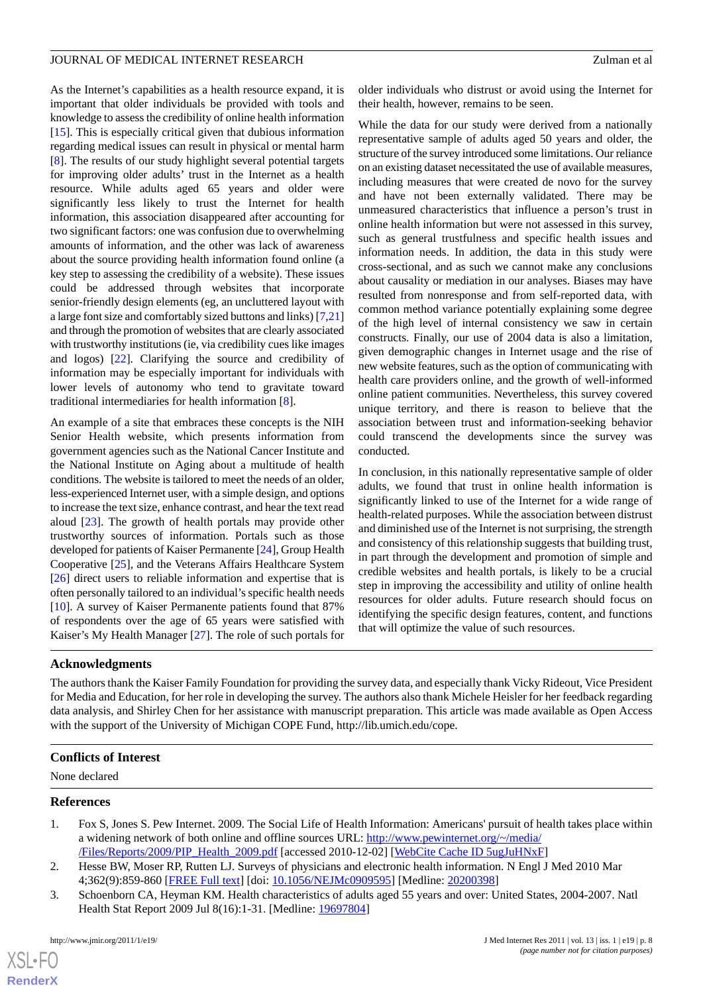As the Internet's capabilities as a health resource expand, it is important that older individuals be provided with tools and knowledge to assess the credibility of online health information [[15\]](#page-8-10). This is especially critical given that dubious information regarding medical issues can result in physical or mental harm [[8\]](#page-8-3). The results of our study highlight several potential targets for improving older adults' trust in the Internet as a health resource. While adults aged 65 years and older were significantly less likely to trust the Internet for health information, this association disappeared after accounting for two significant factors: one was confusion due to overwhelming amounts of information, and the other was lack of awareness about the source providing health information found online (a key step to assessing the credibility of a website). These issues could be addressed through websites that incorporate senior-friendly design elements (eg, an uncluttered layout with a large font size and comfortably sized buttons and links) [[7](#page-8-2)[,21](#page-8-16)] and through the promotion of websites that are clearly associated with trustworthy institutions (ie, via credibility cues like images and logos) [\[22](#page-8-17)]. Clarifying the source and credibility of information may be especially important for individuals with lower levels of autonomy who tend to gravitate toward traditional intermediaries for health information [[8\]](#page-8-3).

An example of a site that embraces these concepts is the NIH Senior Health website, which presents information from government agencies such as the National Cancer Institute and the National Institute on Aging about a multitude of health conditions. The website is tailored to meet the needs of an older, less-experienced Internet user, with a simple design, and options to increase the text size, enhance contrast, and hear the text read aloud [\[23](#page-8-18)]. The growth of health portals may provide other trustworthy sources of information. Portals such as those developed for patients of Kaiser Permanente [\[24](#page-8-19)], Group Health Cooperative [\[25](#page-8-20)], and the Veterans Affairs Healthcare System [[26\]](#page-8-21) direct users to reliable information and expertise that is often personally tailored to an individual's specific health needs [[10\]](#page-8-5). A survey of Kaiser Permanente patients found that 87% of respondents over the age of 65 years were satisfied with Kaiser's My Health Manager [\[27](#page-9-0)]. The role of such portals for

older individuals who distrust or avoid using the Internet for their health, however, remains to be seen.

While the data for our study were derived from a nationally representative sample of adults aged 50 years and older, the structure of the survey introduced some limitations. Our reliance on an existing dataset necessitated the use of available measures, including measures that were created de novo for the survey and have not been externally validated. There may be unmeasured characteristics that influence a person's trust in online health information but were not assessed in this survey, such as general trustfulness and specific health issues and information needs. In addition, the data in this study were cross-sectional, and as such we cannot make any conclusions about causality or mediation in our analyses. Biases may have resulted from nonresponse and from self-reported data, with common method variance potentially explaining some degree of the high level of internal consistency we saw in certain constructs. Finally, our use of 2004 data is also a limitation, given demographic changes in Internet usage and the rise of new website features, such as the option of communicating with health care providers online, and the growth of well-informed online patient communities. Nevertheless, this survey covered unique territory, and there is reason to believe that the association between trust and information-seeking behavior could transcend the developments since the survey was conducted.

In conclusion, in this nationally representative sample of older adults, we found that trust in online health information is significantly linked to use of the Internet for a wide range of health-related purposes. While the association between distrust and diminished use of the Internet is not surprising, the strength and consistency of this relationship suggests that building trust, in part through the development and promotion of simple and credible websites and health portals, is likely to be a crucial step in improving the accessibility and utility of online health resources for older adults. Future research should focus on identifying the specific design features, content, and functions that will optimize the value of such resources.

## **Acknowledgments**

The authors thank the Kaiser Family Foundation for providing the survey data, and especially thank Vicky Rideout, Vice President for Media and Education, for her role in developing the survey. The authors also thank Michele Heisler for her feedback regarding data analysis, and Shirley Chen for her assistance with manuscript preparation. This article was made available as Open Access with the support of the University of Michigan COPE Fund, http://lib.umich.edu/cope.

## <span id="page-7-0"></span>**Conflicts of Interest**

<span id="page-7-1"></span>None declared

#### <span id="page-7-2"></span>**References**

- 1. Fox S, Jones S. Pew Internet. 2009. The Social Life of Health Information: Americans' pursuit of health takes place within a widening network of both online and offline sources URL: [http://www.pewinternet.org/~/media/](http://www.pewinternet.org/~/media//Files/Reports/2009/PIP_Health_2009.pdf) [/Files/Reports/2009/PIP\\_Health\\_2009.pdf](http://www.pewinternet.org/~/media//Files/Reports/2009/PIP_Health_2009.pdf) [accessed 2010-12-02] [\[WebCite Cache ID 5ugJuHNxF\]](http://www.webcitation.org/

                                                5ugJuHNxF)
- 2. Hesse BW, Moser RP, Rutten LJ. Surveys of physicians and electronic health information. N Engl J Med 2010 Mar 4;362(9):859-860 [[FREE Full text](http://dx.doi.org/10.1056/NEJMc0909595)] [doi: [10.1056/NEJMc0909595](http://dx.doi.org/10.1056/NEJMc0909595)] [Medline: [20200398](http://www.ncbi.nlm.nih.gov/entrez/query.fcgi?cmd=Retrieve&db=PubMed&list_uids=20200398&dopt=Abstract)]
- 3. Schoenborn CA, Heyman KM. Health characteristics of adults aged 55 years and over: United States, 2004-2007. Natl Health Stat Report 2009 Jul 8(16):1-31. [Medline: [19697804\]](http://www.ncbi.nlm.nih.gov/entrez/query.fcgi?cmd=Retrieve&db=PubMed&list_uids=19697804&dopt=Abstract)

 $XSJ \cdot F$ **[RenderX](http://www.renderx.com/)**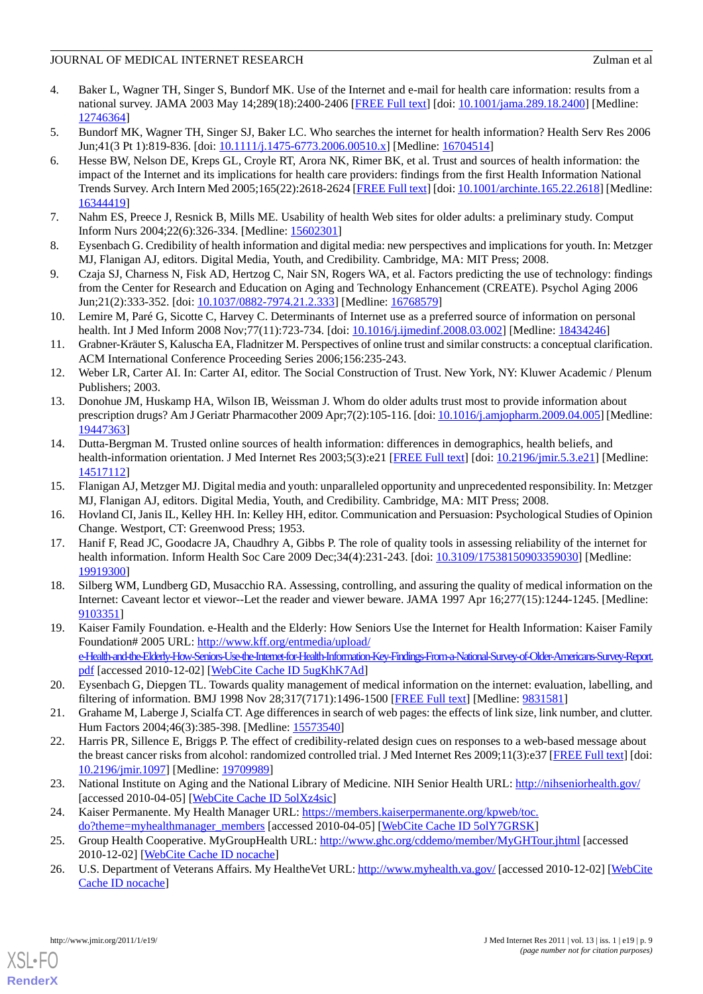## JOURNAL OF MEDICAL INTERNET RESEARCH Zulman et al. Zulman et al.

- <span id="page-8-0"></span>4. Baker L, Wagner TH, Singer S, Bundorf MK. Use of the Internet and e-mail for health care information: results from a national survey. JAMA 2003 May 14;289(18):2400-2406 [[FREE Full text](http://jama.ama-assn.org/cgi/pmidlookup?view=long&pmid=12746364)] [doi: [10.1001/jama.289.18.2400\]](http://dx.doi.org/10.1001/jama.289.18.2400) [Medline: [12746364](http://www.ncbi.nlm.nih.gov/entrez/query.fcgi?cmd=Retrieve&db=PubMed&list_uids=12746364&dopt=Abstract)]
- <span id="page-8-1"></span>5. Bundorf MK, Wagner TH, Singer SJ, Baker LC. Who searches the internet for health information? Health Serv Res 2006 Jun;41(3 Pt 1):819-836. [doi: [10.1111/j.1475-6773.2006.00510.x](http://dx.doi.org/10.1111/j.1475-6773.2006.00510.x)] [Medline: [16704514\]](http://www.ncbi.nlm.nih.gov/entrez/query.fcgi?cmd=Retrieve&db=PubMed&list_uids=16704514&dopt=Abstract)
- 6. Hesse BW, Nelson DE, Kreps GL, Croyle RT, Arora NK, Rimer BK, et al. Trust and sources of health information: the impact of the Internet and its implications for health care providers: findings from the first Health Information National Trends Survey. Arch Intern Med 2005;165(22):2618-2624 [\[FREE Full text\]](http://archinte.ama-assn.org/cgi/pmidlookup?view=long&pmid=16344419) [doi: [10.1001/archinte.165.22.2618\]](http://dx.doi.org/10.1001/archinte.165.22.2618) [Medline: [16344419](http://www.ncbi.nlm.nih.gov/entrez/query.fcgi?cmd=Retrieve&db=PubMed&list_uids=16344419&dopt=Abstract)]
- <span id="page-8-3"></span><span id="page-8-2"></span>7. Nahm ES, Preece J, Resnick B, Mills ME. Usability of health Web sites for older adults: a preliminary study. Comput Inform Nurs 2004;22(6):326-334. [Medline: [15602301](http://www.ncbi.nlm.nih.gov/entrez/query.fcgi?cmd=Retrieve&db=PubMed&list_uids=15602301&dopt=Abstract)]
- <span id="page-8-4"></span>8. Eysenbach G. Credibility of health information and digital media: new perspectives and implications for youth. In: Metzger MJ, Flanigan AJ, editors. Digital Media, Youth, and Credibility. Cambridge, MA: MIT Press; 2008.
- <span id="page-8-5"></span>9. Czaja SJ, Charness N, Fisk AD, Hertzog C, Nair SN, Rogers WA, et al. Factors predicting the use of technology: findings from the Center for Research and Education on Aging and Technology Enhancement (CREATE). Psychol Aging 2006 Jun;21(2):333-352. [doi: [10.1037/0882-7974.21.2.333\]](http://dx.doi.org/10.1037/0882-7974.21.2.333) [Medline: [16768579](http://www.ncbi.nlm.nih.gov/entrez/query.fcgi?cmd=Retrieve&db=PubMed&list_uids=16768579&dopt=Abstract)]
- <span id="page-8-6"></span>10. Lemire M, Paré G, Sicotte C, Harvey C. Determinants of Internet use as a preferred source of information on personal health. Int J Med Inform 2008 Nov;77(11):723-734. [doi: [10.1016/j.ijmedinf.2008.03.002\]](http://dx.doi.org/10.1016/j.ijmedinf.2008.03.002) [Medline: [18434246](http://www.ncbi.nlm.nih.gov/entrez/query.fcgi?cmd=Retrieve&db=PubMed&list_uids=18434246&dopt=Abstract)]
- <span id="page-8-7"></span>11. Grabner-Kräuter S, Kaluscha EA, Fladnitzer M. Perspectives of online trust and similar constructs: a conceptual clarification. ACM International Conference Proceeding Series 2006;156:235-243.
- <span id="page-8-8"></span>12. Weber LR, Carter AI. In: Carter AI, editor. The Social Construction of Trust. New York, NY: Kluwer Academic / Plenum Publishers; 2003.
- <span id="page-8-9"></span>13. Donohue JM, Huskamp HA, Wilson IB, Weissman J. Whom do older adults trust most to provide information about prescription drugs? Am J Geriatr Pharmacother 2009 Apr;7(2):105-116. [doi: [10.1016/j.amjopharm.2009.04.005](http://dx.doi.org/10.1016/j.amjopharm.2009.04.005)] [Medline: [19447363](http://www.ncbi.nlm.nih.gov/entrez/query.fcgi?cmd=Retrieve&db=PubMed&list_uids=19447363&dopt=Abstract)]
- <span id="page-8-11"></span><span id="page-8-10"></span>14. Dutta-Bergman M. Trusted online sources of health information: differences in demographics, health beliefs, and health-information orientation. J Med Internet Res 2003;5(3):e21 [\[FREE Full text\]](http://www.jmir.org/2003/3/e21/) [doi: [10.2196/jmir.5.3.e21](http://dx.doi.org/10.2196/jmir.5.3.e21)] [Medline: [14517112](http://www.ncbi.nlm.nih.gov/entrez/query.fcgi?cmd=Retrieve&db=PubMed&list_uids=14517112&dopt=Abstract)]
- <span id="page-8-12"></span>15. Flanigan AJ, Metzger MJ. Digital media and youth: unparalleled opportunity and unprecedented responsibility. In: Metzger MJ, Flanigan AJ, editors. Digital Media, Youth, and Credibility. Cambridge, MA: MIT Press; 2008.
- <span id="page-8-13"></span>16. Hovland CI, Janis IL, Kelley HH. In: Kelley HH, editor. Communication and Persuasion: Psychological Studies of Opinion Change. Westport, CT: Greenwood Press; 1953.
- 17. Hanif F, Read JC, Goodacre JA, Chaudhry A, Gibbs P. The role of quality tools in assessing reliability of the internet for health information. Inform Health Soc Care 2009 Dec;34(4):231-243. [doi: [10.3109/17538150903359030\]](http://dx.doi.org/10.3109/17538150903359030) [Medline: [19919300](http://www.ncbi.nlm.nih.gov/entrez/query.fcgi?cmd=Retrieve&db=PubMed&list_uids=19919300&dopt=Abstract)]
- <span id="page-8-14"></span>18. Silberg WM, Lundberg GD, Musacchio RA. Assessing, controlling, and assuring the quality of medical information on the Internet: Caveant lector et viewor--Let the reader and viewer beware. JAMA 1997 Apr 16;277(15):1244-1245. [Medline: [9103351\]](http://www.ncbi.nlm.nih.gov/entrez/query.fcgi?cmd=Retrieve&db=PubMed&list_uids=9103351&dopt=Abstract)
- <span id="page-8-16"></span><span id="page-8-15"></span>19. Kaiser Family Foundation. e-Health and the Elderly: How Seniors Use the Internet for Health Information: Kaiser Family Foundation# 2005 URL: [http://www.kff.org/entmedia/upload/](http://www.kff.org/entmedia/upload/e-Health-and-the-Elderly-How-Seniors-Use-the-Internet-for-Health-Information-Key-Findings-From-a-National-Survey-of-Older-Americans-Survey-Report.pdf) [e-Health-and-the-Elderly-How-Seniors-Use-the-Internet-for-Health-Information-Key-Findings-From-a-National-Survey-of-Older-Americans-Survey-Report.](http://www.kff.org/entmedia/upload/e-Health-and-the-Elderly-How-Seniors-Use-the-Internet-for-Health-Information-Key-Findings-From-a-National-Survey-of-Older-Americans-Survey-Report.pdf) [pdf](http://www.kff.org/entmedia/upload/e-Health-and-the-Elderly-How-Seniors-Use-the-Internet-for-Health-Information-Key-Findings-From-a-National-Survey-of-Older-Americans-Survey-Report.pdf) [accessed 2010-12-02] [[WebCite Cache ID 5ugKhK7Ad](http://www.webcitation.org/

                                                5ugKhK7Ad)]
- <span id="page-8-17"></span>20. Eysenbach G, Diepgen TL. Towards quality management of medical information on the internet: evaluation, labelling, and filtering of information. BMJ 1998 Nov 28;317(7171):1496-1500 [\[FREE Full text\]](http://bmj.com/cgi/pmidlookup?view=long&pmid=9831581) [Medline: [9831581\]](http://www.ncbi.nlm.nih.gov/entrez/query.fcgi?cmd=Retrieve&db=PubMed&list_uids=9831581&dopt=Abstract)
- <span id="page-8-18"></span>21. Grahame M, Laberge J, Scialfa CT. Age differences in search of web pages: the effects of link size, link number, and clutter. Hum Factors 2004;46(3):385-398. [Medline: [15573540](http://www.ncbi.nlm.nih.gov/entrez/query.fcgi?cmd=Retrieve&db=PubMed&list_uids=15573540&dopt=Abstract)]
- <span id="page-8-20"></span><span id="page-8-19"></span>22. Harris PR, Sillence E, Briggs P. The effect of credibility-related design cues on responses to a web-based message about the breast cancer risks from alcohol: randomized controlled trial. J Med Internet Res 2009;11(3):e37 [[FREE Full text](http://www.jmir.org/2009/3/e37/)] [doi: [10.2196/jmir.1097](http://dx.doi.org/10.2196/jmir.1097)] [Medline: [19709989](http://www.ncbi.nlm.nih.gov/entrez/query.fcgi?cmd=Retrieve&db=PubMed&list_uids=19709989&dopt=Abstract)]
- <span id="page-8-21"></span>23. National Institute on Aging and the National Library of Medicine. NIH Senior Health URL: <http://nihseniorhealth.gov/> [accessed 2010-04-05] [\[WebCite Cache ID 5olXz4sic\]](http://www.webcitation.org/

                                                5olXz4sic)
- 24. Kaiser Permanente. My Health Manager URL: [https://members.kaiserpermanente.org/kpweb/toc.](https://members.kaiserpermanente.org/kpweb/toc.do?theme=myhealthmanager_members) [do?theme=myhealthmanager\\_members](https://members.kaiserpermanente.org/kpweb/toc.do?theme=myhealthmanager_members) [accessed 2010-04-05] [[WebCite Cache ID 5olY7GRSK\]](http://www.webcitation.org/

                                                5olY7GRSK)
- 25. Group Health Cooperative. MyGroupHealth URL:<http://www.ghc.org/cddemo/member/MyGHTour.jhtml> [accessed] 2010-12-02] [\[WebCite Cache ID nocache\]](http://www.webcitation.org/

                                                nocache)
- 26. U.S. Department of Veterans Affairs. My HealtheVet URL:<http://www.myhealth.va.gov/> [accessed 2010-12-02] [\[WebCite](http://www.webcitation.org/

                                nocache) [Cache ID nocache\]](http://www.webcitation.org/

                                                nocache)

[XSL](http://www.w3.org/Style/XSL)•FO **[RenderX](http://www.renderx.com/)**